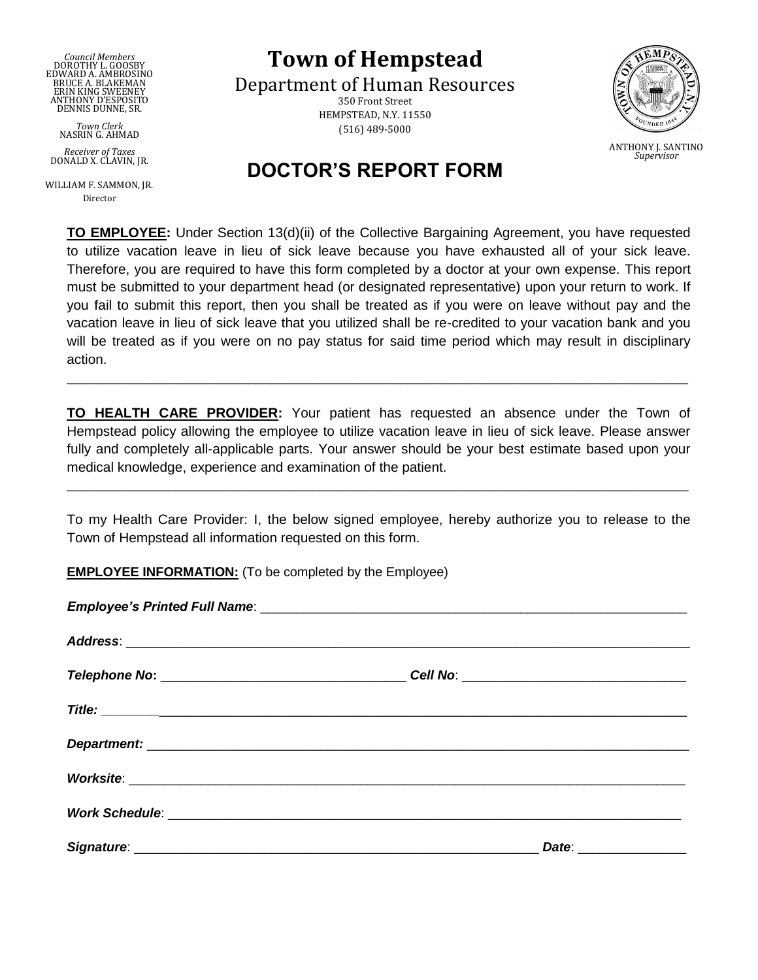*Council Members* DOROTHY L. GOOSBY EDWARD A. AMBROSINO BRUCE A. BLAKEMAN ERIN KING SWEENEY ANTHONY D'ESPOSITO DENNIS DUNNE, SR.

*Town Clerk* NASRIN G. AHMAD

*Receiver of Taxes* DONALD X. CLAVIN, JR.

WILLIAM F. SAMMON, JR. Director

**Town of Hempstead**

Department of Human Resources 350 Front Street HEMPSTEAD, N.Y. 11550 (516) 489-5000



## I **DOCTOR'S REPORT FORM**

**TO EMPLOYEE:** Under Section 13(d)(ii) of the Collective Bargaining Agreement, you have requested to utilize vacation leave in lieu of sick leave because you have exhausted all of your sick leave. Therefore, you are required to have this form completed by a doctor at your own expense. This report must be submitted to your department head (or designated representative) upon your return to work. If you fail to submit this report, then you shall be treated as if you were on leave without pay and the vacation leave in lieu of sick leave that you utilized shall be re-credited to your vacation bank and you will be treated as if you were on no pay status for said time period which may result in disciplinary action.

**TO HEALTH CARE PROVIDER:** Your patient has requested an absence under the Town of Hempstead policy allowing the employee to utilize vacation leave in lieu of sick leave. Please answer fully and completely all-applicable parts. Your answer should be your best estimate based upon your medical knowledge, experience and examination of the patient.

\_\_\_\_\_\_\_\_\_\_\_\_\_\_\_\_\_\_\_\_\_\_\_\_\_\_\_\_\_\_\_\_\_\_\_\_\_\_\_\_\_\_\_\_\_\_\_\_\_\_\_\_\_\_\_\_\_\_\_\_\_\_\_\_\_\_\_\_\_\_\_\_\_\_\_\_\_\_\_\_\_\_

To my Health Care Provider: I, the below signed employee, hereby authorize you to release to the Town of Hempstead all information requested on this form.

 $\_$  ,  $\_$  ,  $\_$  ,  $\_$  ,  $\_$  ,  $\_$  ,  $\_$  ,  $\_$  ,  $\_$  ,  $\_$  ,  $\_$  ,  $\_$  ,  $\_$  ,  $\_$  ,  $\_$  ,  $\_$  ,  $\_$  ,  $\_$  ,  $\_$  ,  $\_$  ,  $\_$  ,  $\_$  ,  $\_$  ,  $\_$  ,  $\_$  ,  $\_$  ,  $\_$  ,  $\_$  ,  $\_$  ,  $\_$  ,  $\_$  ,  $\_$  ,  $\_$  ,  $\_$  ,  $\_$  ,  $\_$  ,  $\_$  ,

**EMPLOYEE INFORMATION:** (To be completed by the Employee)